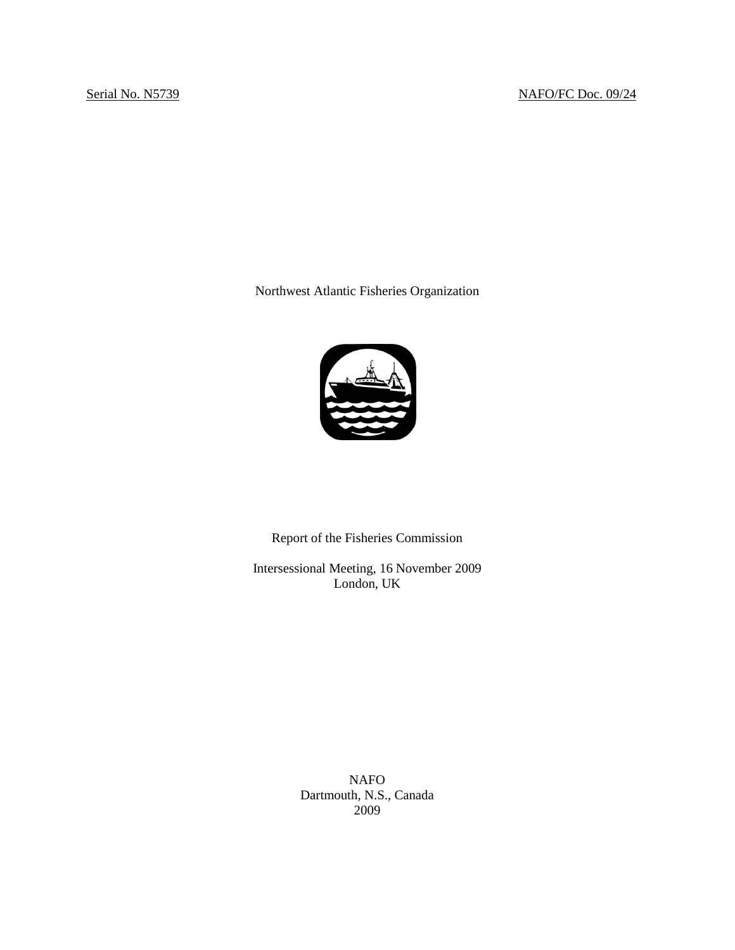Northwest Atlantic Fisheries Organization



Report of the Fisheries Commission

Intersessional Meeting, 16 November 2009 London, UK

> NAFO Dartmouth, N.S., Canada 2009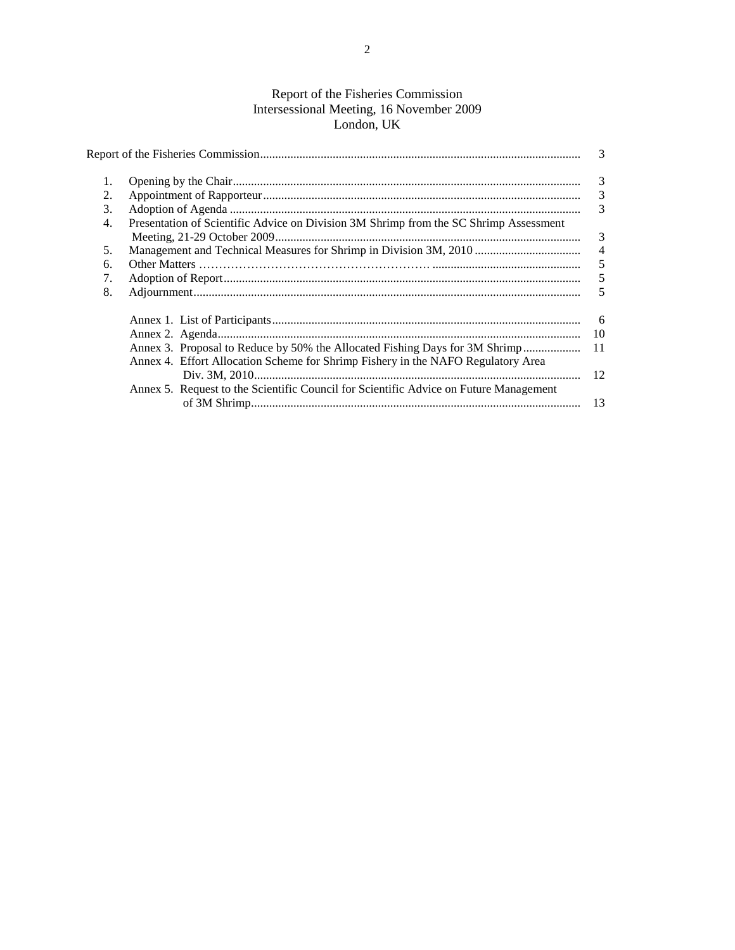## Report of the Fisheries Commission Intersessional Meeting, 16 November 2009 London, UK

|    |                                                                                       | 3                       |  |
|----|---------------------------------------------------------------------------------------|-------------------------|--|
|    |                                                                                       | $\overline{\mathbf{3}}$ |  |
| 2. |                                                                                       | $\overline{\mathbf{3}}$ |  |
| 3. |                                                                                       | 3                       |  |
| 4. | Presentation of Scientific Advice on Division 3M Shrimp from the SC Shrimp Assessment |                         |  |
|    |                                                                                       | 3                       |  |
| 5. |                                                                                       | $\overline{4}$          |  |
| 6. |                                                                                       |                         |  |
| 7. |                                                                                       |                         |  |
| 8. |                                                                                       | 5                       |  |
|    |                                                                                       |                         |  |
|    |                                                                                       |                         |  |
|    | Annex 3. Proposal to Reduce by 50% the Allocated Fishing Days for 3M Shrimp           | 11                      |  |
|    | Annex 4. Effort Allocation Scheme for Shrimp Fishery in the NAFO Regulatory Area      |                         |  |
|    |                                                                                       | 12                      |  |
|    | Annex 5. Request to the Scientific Council for Scientific Advice on Future Management |                         |  |
|    |                                                                                       | 13                      |  |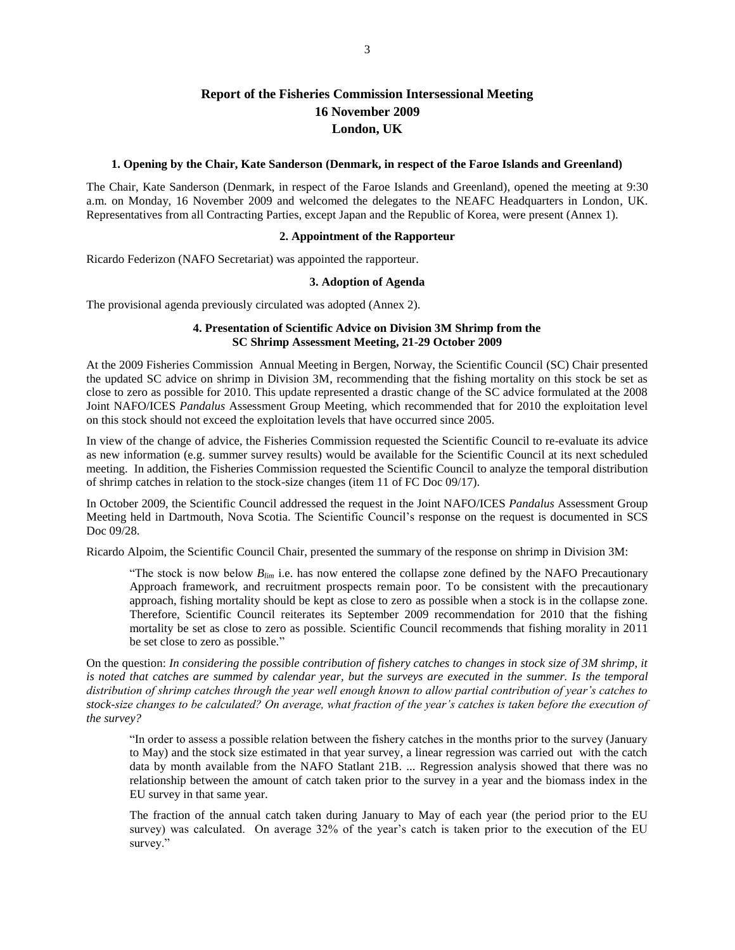# **Report of the Fisheries Commission Intersessional Meeting 16 November 2009 London, UK**

### **1. Opening by the Chair, Kate Sanderson (Denmark, in respect of the Faroe Islands and Greenland)**

The Chair, Kate Sanderson (Denmark, in respect of the Faroe Islands and Greenland), opened the meeting at 9:30 a.m. on Monday, 16 November 2009 and welcomed the delegates to the NEAFC Headquarters in London, UK. Representatives from all Contracting Parties, except Japan and the Republic of Korea, were present (Annex 1).

### **2. Appointment of the Rapporteur**

Ricardo Federizon (NAFO Secretariat) was appointed the rapporteur.

### **3. Adoption of Agenda**

The provisional agenda previously circulated was adopted (Annex 2).

## **4. Presentation of Scientific Advice on Division 3M Shrimp from the SC Shrimp Assessment Meeting, 21-29 October 2009**

At the 2009 Fisheries Commission Annual Meeting in Bergen, Norway, the Scientific Council (SC) Chair presented the updated SC advice on shrimp in Division 3M, recommending that the fishing mortality on this stock be set as close to zero as possible for 2010. This update represented a drastic change of the SC advice formulated at the 2008 Joint NAFO/ICES *Pandalus* Assessment Group Meeting, which recommended that for 2010 the exploitation level on this stock should not exceed the exploitation levels that have occurred since 2005.

In view of the change of advice, the Fisheries Commission requested the Scientific Council to re-evaluate its advice as new information (e.g. summer survey results) would be available for the Scientific Council at its next scheduled meeting. In addition, the Fisheries Commission requested the Scientific Council to analyze the temporal distribution of shrimp catches in relation to the stock-size changes (item 11 of FC Doc 09/17).

In October 2009, the Scientific Council addressed the request in the Joint NAFO/ICES *Pandalus* Assessment Group Meeting held in Dartmouth, Nova Scotia. The Scientific Council's response on the request is documented in SCS Doc 09/28.

Ricardo Alpoim, the Scientific Council Chair, presented the summary of the response on shrimp in Division 3M:

"The stock is now below  $B_{\text{lim}}$  i.e. has now entered the collapse zone defined by the NAFO Precautionary Approach framework, and recruitment prospects remain poor. To be consistent with the precautionary approach, fishing mortality should be kept as close to zero as possible when a stock is in the collapse zone. Therefore, Scientific Council reiterates its September 2009 recommendation for 2010 that the fishing mortality be set as close to zero as possible. Scientific Council recommends that fishing morality in 2011 be set close to zero as possible."

On the question: *In considering the possible contribution of fishery catches to changes in stock size of 3M shrimp, it*  is noted that catches are summed by calendar year, but the surveys are executed in the summer. Is the temporal *distribution of shrimp catches through the year well enough known to allow partial contribution of year's catches to stock-size changes to be calculated? On average, what fraction of the year's catches is taken before the execution of the survey?*

―In order to assess a possible relation between the fishery catches in the months prior to the survey (January to May) and the stock size estimated in that year survey, a linear regression was carried out with the catch data by month available from the NAFO Statlant 21B. ... Regression analysis showed that there was no relationship between the amount of catch taken prior to the survey in a year and the biomass index in the EU survey in that same year.

The fraction of the annual catch taken during January to May of each year (the period prior to the EU survey) was calculated. On average 32% of the year's catch is taken prior to the execution of the EU survey."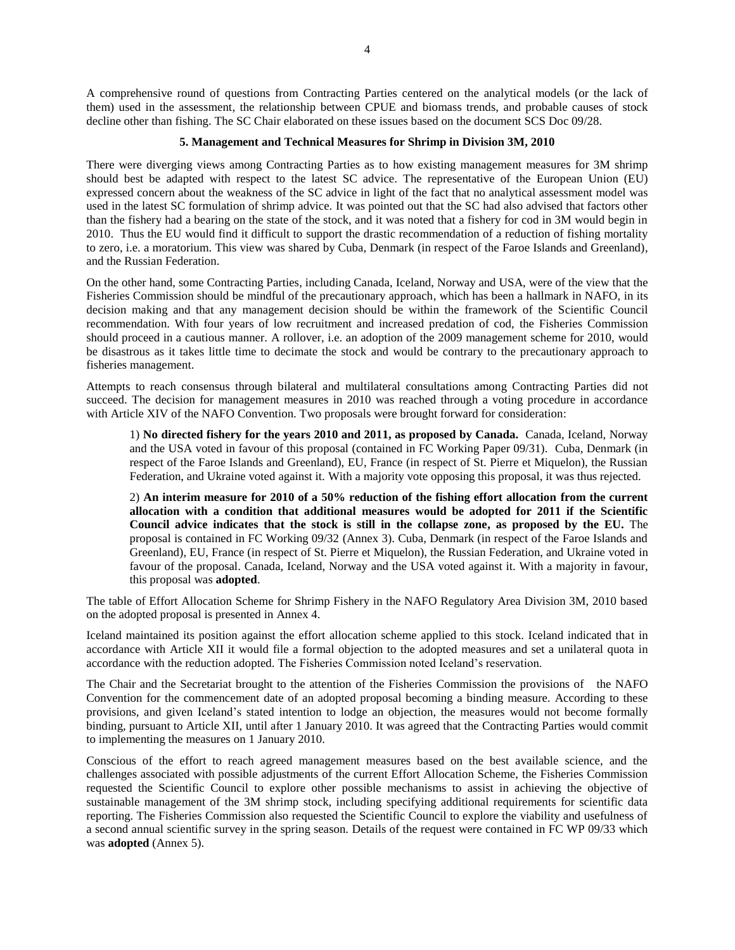A comprehensive round of questions from Contracting Parties centered on the analytical models (or the lack of them) used in the assessment, the relationship between CPUE and biomass trends, and probable causes of stock decline other than fishing. The SC Chair elaborated on these issues based on the document SCS Doc 09/28.

### **5. Management and Technical Measures for Shrimp in Division 3M, 2010**

There were diverging views among Contracting Parties as to how existing management measures for 3M shrimp should best be adapted with respect to the latest SC advice. The representative of the European Union (EU) expressed concern about the weakness of the SC advice in light of the fact that no analytical assessment model was used in the latest SC formulation of shrimp advice. It was pointed out that the SC had also advised that factors other than the fishery had a bearing on the state of the stock, and it was noted that a fishery for cod in 3M would begin in 2010. Thus the EU would find it difficult to support the drastic recommendation of a reduction of fishing mortality to zero, i.e. a moratorium. This view was shared by Cuba, Denmark (in respect of the Faroe Islands and Greenland), and the Russian Federation.

On the other hand, some Contracting Parties, including Canada, Iceland, Norway and USA, were of the view that the Fisheries Commission should be mindful of the precautionary approach, which has been a hallmark in NAFO, in its decision making and that any management decision should be within the framework of the Scientific Council recommendation. With four years of low recruitment and increased predation of cod, the Fisheries Commission should proceed in a cautious manner. A rollover, i.e. an adoption of the 2009 management scheme for 2010, would be disastrous as it takes little time to decimate the stock and would be contrary to the precautionary approach to fisheries management.

Attempts to reach consensus through bilateral and multilateral consultations among Contracting Parties did not succeed. The decision for management measures in 2010 was reached through a voting procedure in accordance with Article XIV of the NAFO Convention. Two proposals were brought forward for consideration:

1) **No directed fishery for the years 2010 and 2011, as proposed by Canada.** Canada, Iceland, Norway and the USA voted in favour of this proposal (contained in FC Working Paper 09/31). Cuba, Denmark (in respect of the Faroe Islands and Greenland), EU, France (in respect of St. Pierre et Miquelon), the Russian Federation, and Ukraine voted against it. With a majority vote opposing this proposal, it was thus rejected.

2) **An interim measure for 2010 of a 50% reduction of the fishing effort allocation from the current allocation with a condition that additional measures would be adopted for 2011 if the Scientific Council advice indicates that the stock is still in the collapse zone, as proposed by the EU.** The proposal is contained in FC Working 09/32 (Annex 3). Cuba, Denmark (in respect of the Faroe Islands and Greenland), EU, France (in respect of St. Pierre et Miquelon), the Russian Federation, and Ukraine voted in favour of the proposal. Canada, Iceland, Norway and the USA voted against it. With a majority in favour, this proposal was **adopted**.

The table of Effort Allocation Scheme for Shrimp Fishery in the NAFO Regulatory Area Division 3M, 2010 based on the adopted proposal is presented in Annex 4.

Iceland maintained its position against the effort allocation scheme applied to this stock. Iceland indicated that in accordance with Article XII it would file a formal objection to the adopted measures and set a unilateral quota in accordance with the reduction adopted. The Fisheries Commission noted Iceland's reservation.

The Chair and the Secretariat brought to the attention of the Fisheries Commission the provisions of the NAFO Convention for the commencement date of an adopted proposal becoming a binding measure. According to these provisions, and given Iceland's stated intention to lodge an objection, the measures would not become formally binding, pursuant to Article XII, until after 1 January 2010. It was agreed that the Contracting Parties would commit to implementing the measures on 1 January 2010.

Conscious of the effort to reach agreed management measures based on the best available science, and the challenges associated with possible adjustments of the current Effort Allocation Scheme, the Fisheries Commission requested the Scientific Council to explore other possible mechanisms to assist in achieving the objective of sustainable management of the 3M shrimp stock, including specifying additional requirements for scientific data reporting. The Fisheries Commission also requested the Scientific Council to explore the viability and usefulness of a second annual scientific survey in the spring season. Details of the request were contained in FC WP 09/33 which was **adopted** (Annex 5).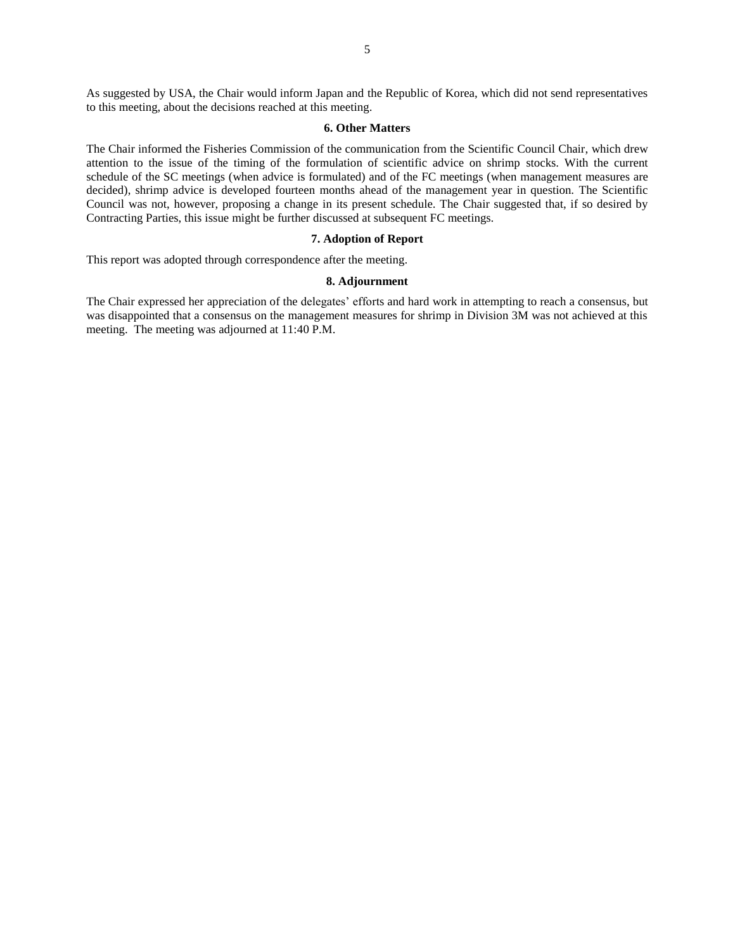As suggested by USA, the Chair would inform Japan and the Republic of Korea, which did not send representatives to this meeting, about the decisions reached at this meeting.

## **6. Other Matters**

The Chair informed the Fisheries Commission of the communication from the Scientific Council Chair, which drew attention to the issue of the timing of the formulation of scientific advice on shrimp stocks. With the current schedule of the SC meetings (when advice is formulated) and of the FC meetings (when management measures are decided), shrimp advice is developed fourteen months ahead of the management year in question. The Scientific Council was not, however, proposing a change in its present schedule. The Chair suggested that, if so desired by Contracting Parties, this issue might be further discussed at subsequent FC meetings.

## **7. Adoption of Report**

This report was adopted through correspondence after the meeting.

#### **8. Adjournment**

The Chair expressed her appreciation of the delegates' efforts and hard work in attempting to reach a consensus, but was disappointed that a consensus on the management measures for shrimp in Division 3M was not achieved at this meeting. The meeting was adjourned at 11:40 P.M.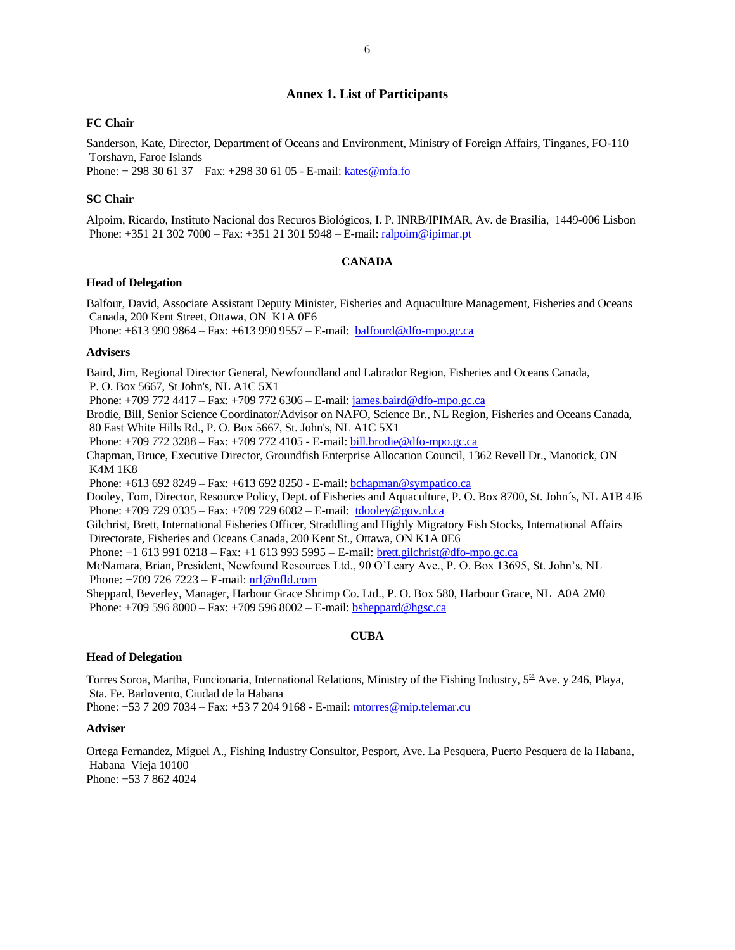## **Annex 1. List of Participants**

### **FC Chair**

Sanderson, Kate, Director, Department of Oceans and Environment, Ministry of Foreign Affairs, Tinganes, FO-110 Torshavn, Faroe Islands

Phone: + 298 30 61 37 – Fax: +298 30 61 05 - E-mail: [kates@mfa.fo](mailto:kates@mfa.fo)

### **SC Chair**

Alpoim, Ricardo, Instituto Nacional dos Recuros Biológicos, I. P. INRB/IPIMAR, Av. de Brasilia, 1449-006 Lisbon Phone: +351 21 302 7000 – Fax: +351 21 301 5948 – E-mail: ralpoim@ipimar.pt

### **CANADA**

### **Head of Delegation**

Balfour, David, Associate Assistant Deputy Minister, Fisheries and Aquaculture Management, Fisheries and Oceans Canada, 200 Kent Street, Ottawa, ON K1A 0E6

Phone: +613 990 9864 – Fax: +613 990 9557 – E-mail: balfourd@dfo-mpo.gc.ca

### **Advisers**

Baird, Jim, Regional Director General, Newfoundland and Labrador Region, Fisheries and Oceans Canada, P. O. Box 5667, St John's, NL A1C 5X1 Phone: +709 772 4417 – Fax: +709 772 6306 – E-mail: james.baird@dfo-mpo.gc.ca Brodie, Bill, Senior Science Coordinator/Advisor on NAFO, Science Br., NL Region, Fisheries and Oceans Canada, 80 East White Hills Rd., P. O. Box 5667, St. John's, NL A1C 5X1 Phone: +709 772 3288 – Fax: +709 772 4105 - E-mail: [bill.brodie@dfo-mpo.gc.ca](mailto:bill.brodie@dfo-mpo.gc.ca) Chapman, Bruce, Executive Director, Groundfish Enterprise Allocation Council, 1362 Revell Dr., Manotick, ON K4M 1K8 Phone: +613 692 8249 – Fax: +613 692 8250 - E-mail: bchapman@sympatico.ca Dooley, Tom, Director, Resource Policy, Dept. of Fisheries and Aquaculture, P. O. Box 8700, St. John´s, NL A1B 4J6 Phone: +709 729 0335 – Fax: +709 729 6082 – E-mail: tdoole[y@gov.nl.ca](mailto:atkinson@athena.nwafc.nf.ca) Gilchrist, Brett, International Fisheries Officer, Straddling and Highly Migratory Fish Stocks, International Affairs Directorate, Fisheries and Oceans Canada, 200 Kent St., Ottawa, ON K1A 0E6 Phone: +1 613 991 0218 – Fax: +1 613 993 5995 – E-mail: brett.gilchrist@dfo-mpo.gc.ca McNamara, Brian, President, Newfound Resources Ltd., 90 O'Leary Ave., P. O. Box 13695, St. John's, NL Phone: +709 726 7223 – E-mail: [nrl@nfld.com](mailto:nrl@nfld.com) Sheppard, Beverley, Manager, Harbour Grace Shrimp Co. Ltd., P. O. Box 580, Harbour Grace, NL A0A 2M0

**CUBA**

## **Head of Delegation**

Torres Soroa, Martha, Funcionaria, International Relations, Ministry of the Fishing Industry, 5<sup>ta</sup> Ave. y 246, Playa, Sta. Fe. Barlovento, Ciudad de la Habana

Phone: +53 7 209 7034 – Fax: +53 7 204 9168 - E-mail[: mtorres@mip.telemar.cu](mailto:mtorres@mip.telemar.cu)

Phone: +709 596 8000 – Fax: +709 596 8002 – E-mail[: bsheppard@hgsc.ca](mailto:bsheppard@hgsc.ca)

### **Adviser**

Ortega Fernandez, Miguel A., Fishing Industry Consultor, Pesport, Ave. La Pesquera, Puerto Pesquera de la Habana, Habana Vieja 10100 Phone: +53 7 862 4024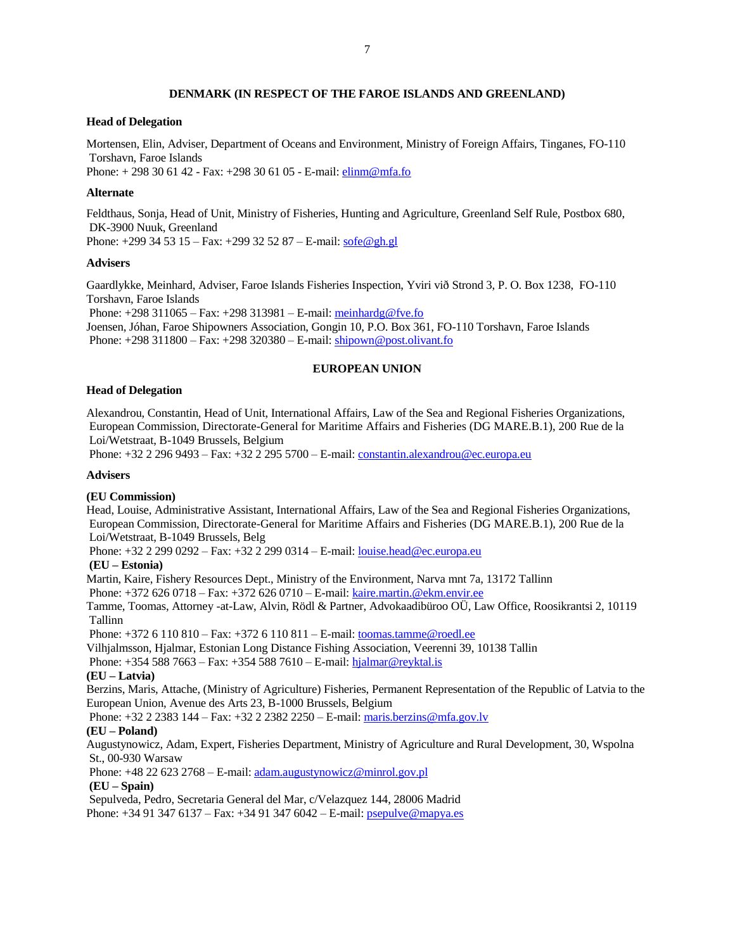## **DENMARK (IN RESPECT OF THE FAROE ISLANDS AND GREENLAND)**

### **Head of Delegation**

Mortensen, Elin, Adviser, Department of Oceans and Environment, Ministry of Foreign Affairs, Tinganes, FO-110 Torshavn, Faroe Islands Phone: + 298 30 61 42 - Fax: +298 30 61 05 - E-mail: elinm@mfa.fo

### **Alternate**

Feldthaus, Sonja, Head of Unit, Ministry of Fisheries, Hunting and Agriculture, Greenland Self Rule, Postbox 680, DK-3900 Nuuk, Greenland Phone: +299 34 53 15 – Fax: +299 32 52 87 – E-mail: [sofe@gh.gl](mailto:rafu@gh.gl)

**Advisers**

Gaardlykke, Meinhard, Adviser, Faroe Islands Fisheries Inspection, Yviri við Strond 3, P. O. Box 1238, FO-110 Torshavn, Faroe Islands

Phone: +298 311065 – Fax: +298 313981 – E-mail: [meinhardg@fve.fo](mailto:meinhardg@fve.fo)

Joensen, Jóhan, Faroe Shipowners Association, Gongin 10, P.O. Box 361, FO-110 Torshavn, Faroe Islands Phone: +298 311800 – Fax: +298 320380 – E-mail: [shipown@post.olivant.fo](mailto:shipown@post.olivant.fo)

## **EUROPEAN UNION**

### **Head of Delegation**

Alexandrou, Constantin, Head of Unit, International Affairs, Law of the Sea and Regional Fisheries Organizations, European Commission, Directorate-General for Maritime Affairs and Fisheries (DG MARE.B.1), 200 Rue de la Loi/Wetstraat, B-1049 Brussels, Belgium

Phone: +32 2 296 9493 – Fax: +32 2 295 5700 – E-mail: [constantin.alexandrou@ec.europa.eu](mailto:constantin.alexandrou@ec.europa.eu)

### **Advisers**

### **(EU Commission)**

Head, Louise, Administrative Assistant, International Affairs, Law of the Sea and Regional Fisheries Organizations, European Commission, Directorate-General for Maritime Affairs and Fisheries (DG MARE.B.1), 200 Rue de la Loi/Wetstraat, B-1049 Brussels, Belg

Phone: +32 2 299 0292 – Fax: +32 2 299 0314 – E-mail: [louise.head@ec.europa.eu](mailto:louise.head@ec.europa.eu)

### **(EU – Estonia)**

Martin, Kaire, Fishery Resources Dept., Ministry of the Environment, Narva mnt 7a, 13172 Tallinn Phone: +372 626 0718 – Fax: +372 626 0710 – E-mail[: kaire.martin.@ekm.envir.ee](mailto:kaire.martin.@ekm.envir.ee)

Tamme, Toomas, Attorney -at-Law, Alvin, Rödl & Partner, Advokaadibüroo OÜ, Law Office, Roosikrantsi 2, 10119 Tallinn

Phone: +372 6 110 810 – Fax: +372 6 110 811 – E-mail: [toomas.tamme@roedl.ee](mailto:toomas.tamme@roedl.ee)

Vilhjalmsson, Hjalmar, Estonian Long Distance Fishing Association, Veerenni 39, 10138 Tallin

Phone: +354 588 7663 – Fax: +354 588 7610 – E-mail[: hjalmar@reyktal.is](mailto:hjalmar@reyktal.is)

### **(EU – Latvia)**

Berzins, Maris, Attache, (Ministry of Agriculture) Fisheries, Permanent Representation of the Republic of Latvia to the European Union, Avenue des Arts 23, B-1000 Brussels, Belgium

Phone: +32 2 2383 144 – Fax: +32 2 2382 2250 – E-mail: [maris.berzins@mfa.gov.lv](mailto:maris.berzins@mfa.gov.lv)

## **(EU – Poland)**

Augustynowicz, Adam, Expert, Fisheries Department, Ministry of Agriculture and Rural Development, 30, Wspolna St., 00-930 Warsaw

Phone: +48 22 623 2768 – E-mail: [adam.augustynowicz@minrol.gov.pl](mailto:adam.augustynowicz@minrol.gov.pl)

## **(EU – Spain)**

Sepulveda, Pedro, Secretaria General del Mar, c/Velazquez 144, 28006 Madrid

Phone:  $+34913476137 - Fax$ :  $+34913476042 - E-mail$ [: psepulve@mapya.es](mailto:psepulve@mapya.es)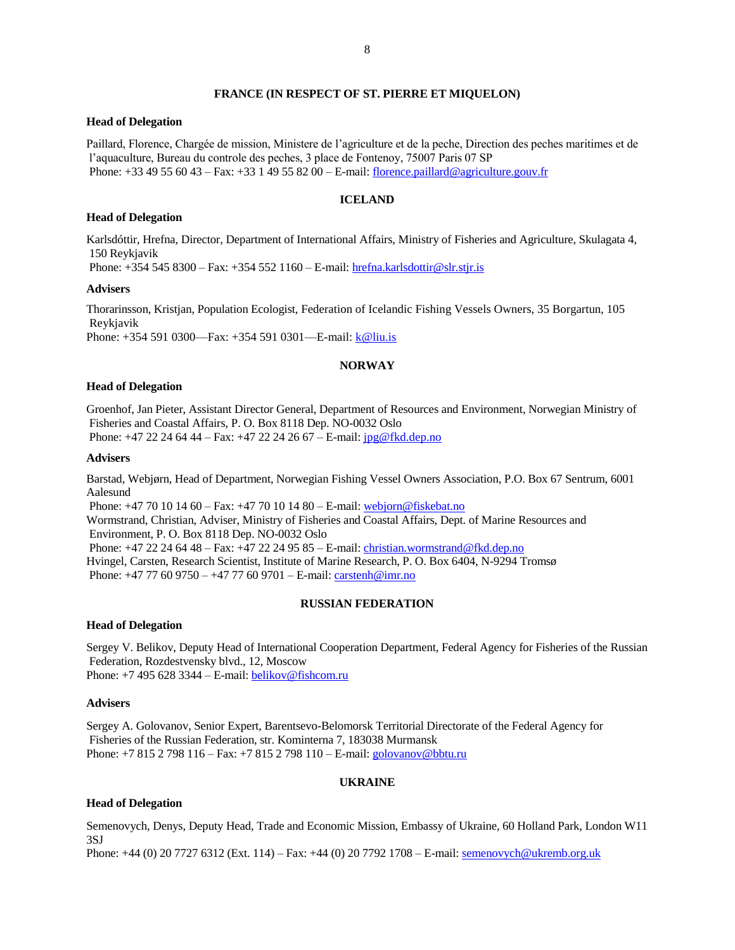## **FRANCE (IN RESPECT OF ST. PIERRE ET MIQUELON)**

### **Head of Delegation**

Paillard, Florence, Chargée de mission, Ministere de l'agriculture et de la peche, Direction des peches maritimes et de l'aquaculture, Bureau du controle des peches, 3 place de Fontenoy, 75007 Paris 07 SP Phone: +33 49 55 60 43 – Fax: +33 1 49 55 82 00 – E-mail[: florence.paillard@agriculture.gouv.fr](mailto:florence.paillard@agriculture.gouv.fr)

### **ICELAND**

#### **Head of Delegation**

Karlsdóttir, Hrefna, Director, Department of International Affairs, Ministry of Fisheries and Agriculture, Skulagata 4, 150 Reykjavik

Phone: +354 545 8300 – Fax: +354 552 1160 – E-mail[: hrefna.karlsdottir@slr.stjr.is](mailto:hrefna.karlsdottir@slr.stjr.is)

### **Advisers**

Thorarinsson, Kristjan, Population Ecologist, Federation of Icelandic Fishing Vessels Owners, 35 Borgartun, 105 Reykjavik

Phone: +354 591 0300—Fax: +354 591 0301—E-mail: *k*@liu.is

## **NORWAY**

### **Head of Delegation**

Groenhof, Jan Pieter, Assistant Director General, Department of Resources and Environment, Norwegian Ministry of Fisheries and Coastal Affairs, P. O. Box 8118 Dep. NO-0032 Oslo Phone: +47 22 24 64 44 – Fax: +47 22 24 26 67 – E-mail: [jpg@fkd.dep.no](mailto:jpg@fkd.dep.no)

#### **Advisers**

Barstad, Webjørn, Head of Department, Norwegian Fishing Vessel Owners Association, P.O. Box 67 Sentrum, 6001 Aalesund

Phone: +47 70 10 14 60 – Fax: +47 70 10 14 80 – E-mail: [webjorn@fiskebat.no](mailto:webjorn@fiskebat.no) Wormstrand, Christian, Adviser, Ministry of Fisheries and Coastal Affairs, Dept. of Marine Resources and Environment, P. O. Box 8118 Dep. NO-0032 Oslo Phone: +47 22 24 64 48 – Fax: +47 22 24 95 85 – E-mail: [christian.wormstrand@fkd.dep.no](mailto:christian.wormstrand@fkd.dep.no) Hvingel, Carsten, Research Scientist, Institute of Marine Research, P. O. Box 6404, N-9294 Tromsø Phone: +47 77 60 9750 – +47 77 60 9701 – E-mail[: carstenh@imr.no](mailto:carstenh@imr.no)

### **RUSSIAN FEDERATION**

### **Head of Delegation**

Sergey V. Belikov, Deputy Head of International Cooperation Department, Federal Agency for Fisheries of the Russian Federation, Rozdestvensky blvd., 12, Moscow Phone: +7 495 628 3344 – E-mail[: belikov@fishcom.ru](mailto:belikov@fishcom.ru)

### **Advisers**

Sergey A. Golovanov, Senior Expert, Barentsevo-Belomorsk Territorial Directorate of the Federal Agency for Fisheries of the Russian Federation, str. Kominterna 7, 183038 Murmansk Phone: +7 815 2 798 116 – Fax: +7 815 2 798 110 – E-mail[: golovanov@bbtu.ru](mailto:golovanov@bbtu.ru)

### **UKRAINE**

### **Head of Delegation**

Semenovych, Denys, Deputy Head, Trade and Economic Mission, Embassy of Ukraine, 60 Holland Park, London W11 3SJ

Phone: +44 (0) 20 7727 6312 (Ext. 114) – Fax: +44 (0) 20 7792 1708 – E-mail: [semenovych@ukremb.org.uk](mailto:semenovych@ukremb.org.uk)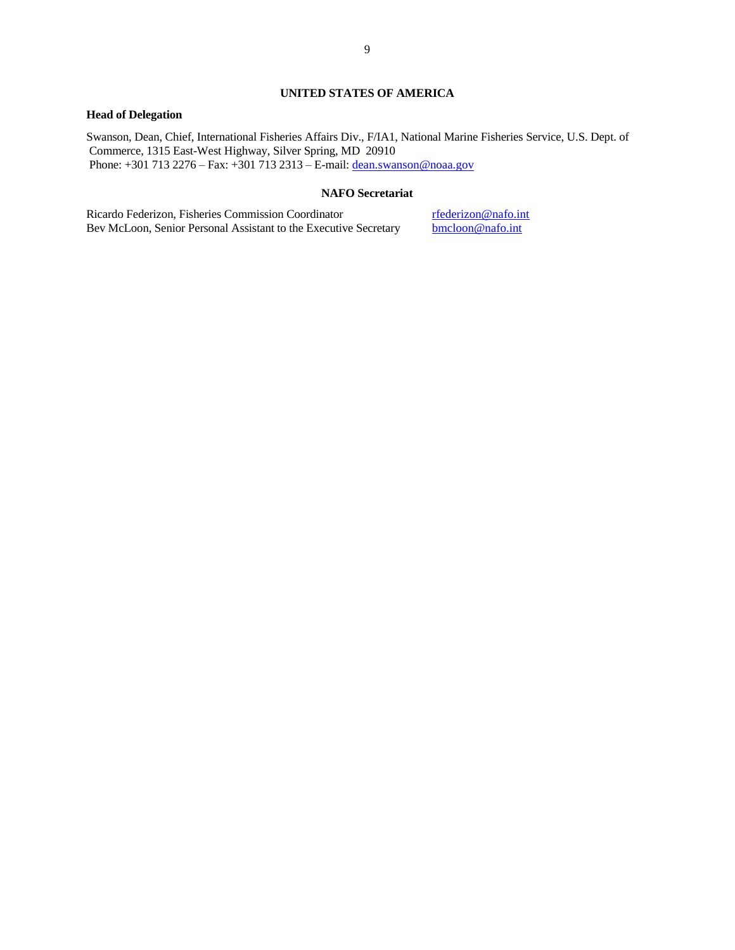## **UNITED STATES OF AMERICA**

## **Head of Delegation**

Swanson, Dean, Chief, International Fisheries Affairs Div., F/IA1, National Marine Fisheries Service, U.S. Dept. of Commerce, 1315 East-West Highway, Silver Spring, MD 20910 Phone: +301 713 2276 – Fax: +301 713 2313 – E-mail[: dean.swanson@noaa.gov](mailto:dean.swanson@noaa.gov)

### **NAFO Secretariat**

Ricardo Federizon, Fisheries Commission Coordinator rfederizon@nafo.int Bev McLoon, Senior Personal Assistant to the Executive Secretary bmcloon@nafo.int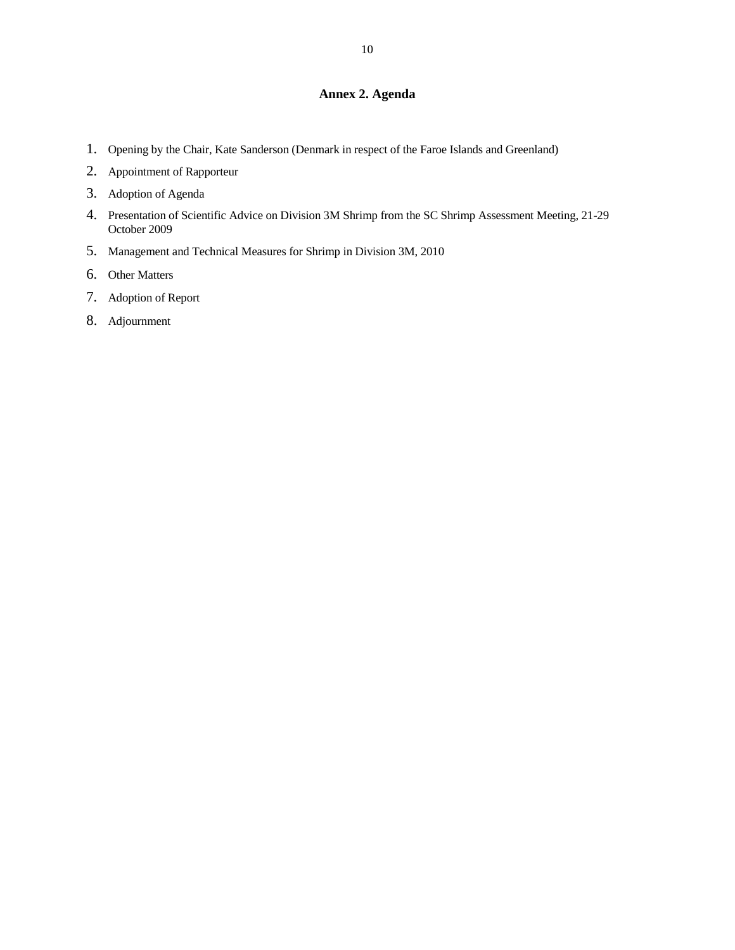# **Annex 2. Agenda**

- 1. Opening by the Chair, Kate Sanderson (Denmark in respect of the Faroe Islands and Greenland)
- 2. Appointment of Rapporteur
- 3. Adoption of Agenda
- 4. Presentation of Scientific Advice on Division 3M Shrimp from the SC Shrimp Assessment Meeting, 21-29 October 2009
- 5. Management and Technical Measures for Shrimp in Division 3M, 2010
- 6. Other Matters
- 7. Adoption of Report
- 8. Adjournment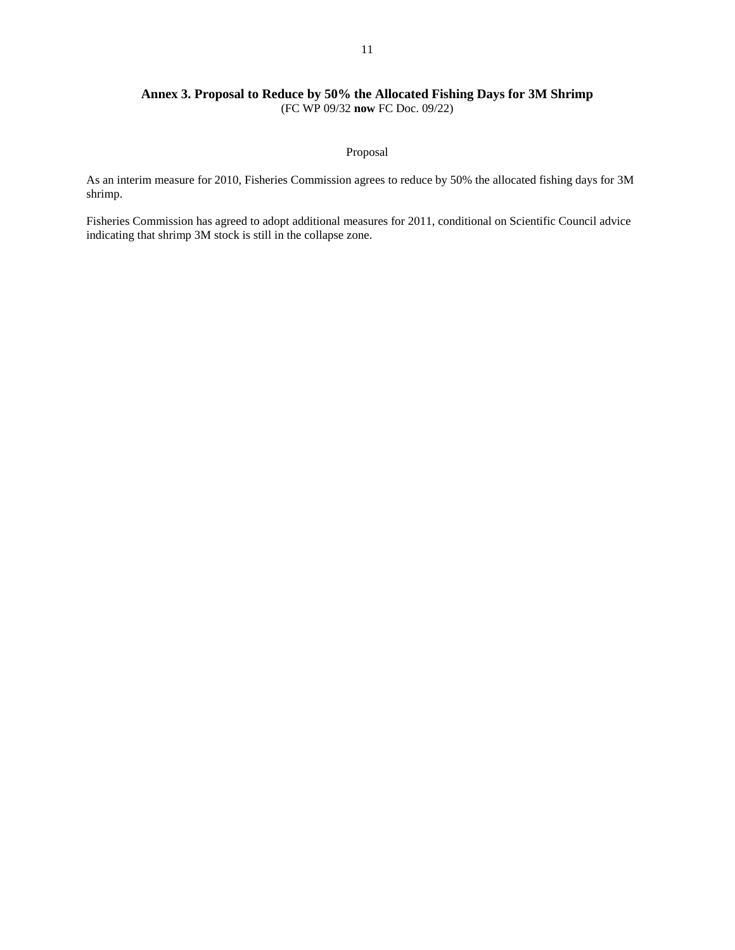## 11

## **Annex 3. Proposal to Reduce by 50% the Allocated Fishing Days for 3M Shrimp** (FC WP 09/32 **now** FC Doc. 09/22)

## Proposal

As an interim measure for 2010, Fisheries Commission agrees to reduce by 50% the allocated fishing days for 3M shrimp.

Fisheries Commission has agreed to adopt additional measures for 2011, conditional on Scientific Council advice indicating that shrimp 3M stock is still in the collapse zone.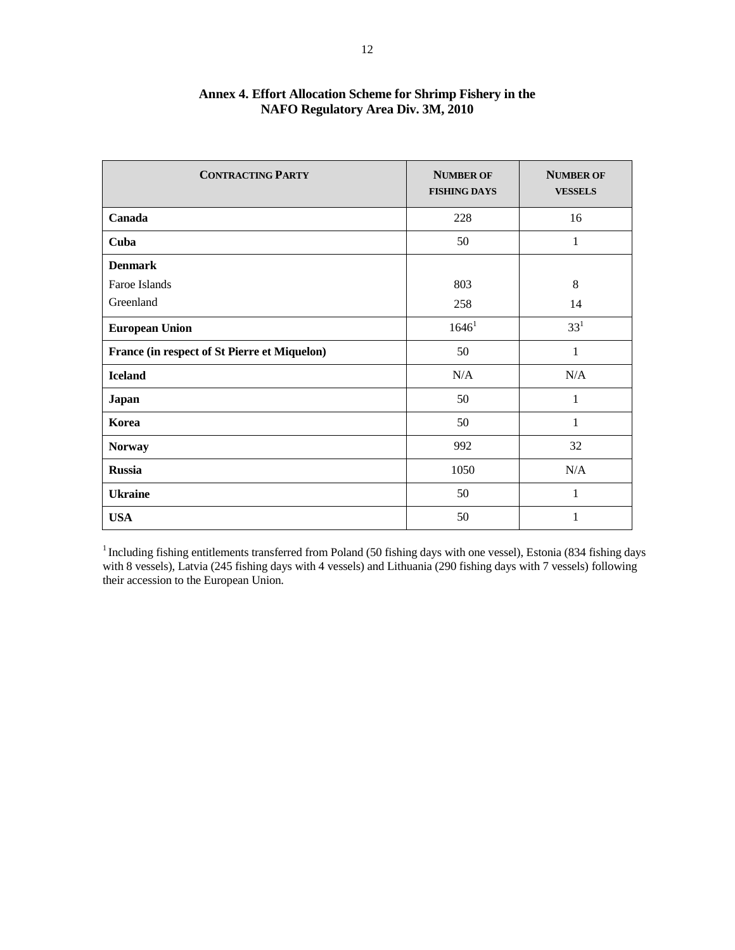| <b>CONTRACTING PARTY</b>                     | <b>NUMBER OF</b><br><b>FISHING DAYS</b> | <b>NUMBER OF</b><br><b>VESSELS</b> |
|----------------------------------------------|-----------------------------------------|------------------------------------|
| Canada                                       | 228                                     | 16                                 |
| Cuba                                         | 50                                      | 1                                  |
| <b>Denmark</b>                               |                                         |                                    |
| Faroe Islands                                | 803                                     | 8                                  |
| Greenland                                    | 258                                     | 14                                 |
| <b>European Union</b>                        | 1646 <sup>1</sup>                       | $33^{1}$                           |
| France (in respect of St Pierre et Miquelon) | 50                                      | 1                                  |
| <b>Iceland</b>                               | N/A                                     | N/A                                |
| Japan                                        | 50                                      | $\mathbf{1}$                       |
| Korea                                        | 50                                      | 1                                  |
| <b>Norway</b>                                | 992                                     | 32                                 |
| <b>Russia</b>                                | 1050                                    | N/A                                |
| <b>Ukraine</b>                               | 50                                      | 1                                  |
| <b>USA</b>                                   | 50                                      | $\mathbf{1}$                       |

# **Annex 4. Effort Allocation Scheme for Shrimp Fishery in the NAFO Regulatory Area Div. 3M, 2010**

<sup>1</sup> Including fishing entitlements transferred from Poland (50 fishing days with one vessel), Estonia (834 fishing days with 8 vessels), Latvia (245 fishing days with 4 vessels) and Lithuania (290 fishing days with 7 vessels) following their accession to the European Union.